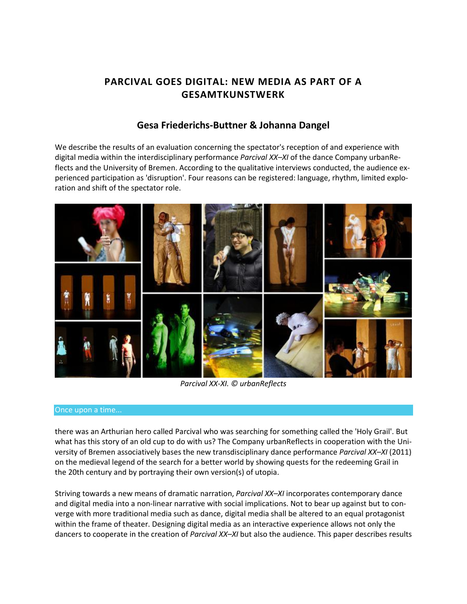# **PARCIVAL GOES DIGITAL: NEW MEDIA AS PART OF A GESAMTKUNSTWERK**

## **[Gesa Friederichs-Buttner](http://isea2011.sabanciuniv.edu/-588.html) & [Johanna Dangel](http://isea2011.sabanciuniv.edu/-585.html)**

We describe the results of an evaluation concerning the spectator's reception of and experience with digital media within the interdisciplinary performance *Parcival XX–XI* of the dance Company urbanReflects and the University of Bremen. According to the qualitative interviews conducted, the audience experienced participation as 'disruption'. Four reasons can be registered: language, rhythm, limited exploration and shift of the spectator role.



*Parcival XX-XI. © urbanReflects*

#### Once upon a time...

there was an Arthurian hero called Parcival who was searching for something called the 'Holy Grail'. But what has this story of an old cup to do with us? The Company urbanReflects in cooperation with the University of Bremen associatively bases the new transdisciplinary dance performance *Parcival XX–XI* (2011) on the medieval legend of the search for a better world by showing quests for the redeeming Grail in the 20th century and by portraying their own version(s) of utopia.

Striving towards a new means of dramatic narration, *Parcival XX–XI* incorporates contemporary dance and digital media into a non-linear narrative with social implications. Not to bear up against but to converge with more traditional media such as dance, digital media shall be altered to an equal protagonist within the frame of theater. Designing digital media as an interactive experience allows not only the dancers to cooperate in the creation of *Parcival XX–XI* but also the audience. This paper describes results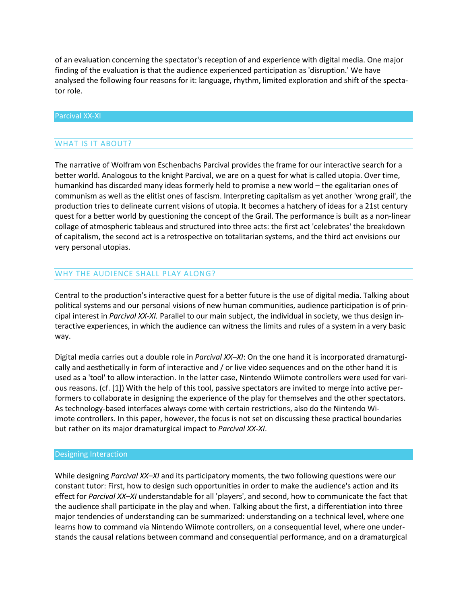of an evaluation concerning the spectator's reception of and experience with digital media. One major finding of the evaluation is that the audience experienced participation as 'disruption.' We have analysed the following four reasons for it: language, rhythm, limited exploration and shift of the spectator role.

#### Parcival XX-XI

#### WHAT IS IT ABOUT?

The narrative of Wolfram von Eschenbachs Parcival provides the frame for our interactive search for a better world. Analogous to the knight Parcival, we are on a quest for what is called utopia. Over time, humankind has discarded many ideas formerly held to promise a new world – the egalitarian ones of communism as well as the elitist ones of fascism. Interpreting capitalism as yet another 'wrong grail', the production tries to delineate current visions of utopia. It becomes a hatchery of ideas for a 21st century quest for a better world by questioning the concept of the Grail. The performance is built as a non-linear collage of atmospheric tableaus and structured into three acts: the first act 'celebrates' the breakdown of capitalism, the second act is a retrospective on totalitarian systems, and the third act envisions our very personal utopias.

## WHY THE AUDIENCE SHALL PLAY ALONG?

Central to the production's interactive quest for a better future is the use of digital media. Talking about political systems and our personal visions of new human communities, audience participation is of principal interest in *Parcival XX-XI.* Parallel to our main subject, the individual in society, we thus design interactive experiences, in which the audience can witness the limits and rules of a system in a very basic way.

Digital media carries out a double role in *Parcival XX–XI*: On the one hand it is incorporated dramaturgically and aesthetically in form of interactive and / or live video sequences and on the other hand it is used as a 'tool' to allow interaction. In the latter case, Nintendo Wiimote controllers were used for various reasons. (cf. [1]) With the help of this tool, passive spectators are invited to merge into active performers to collaborate in designing the experience of the play for themselves and the other spectators. As technology-based interfaces always come with certain restrictions, also do the Nintendo Wiimote controllers. In this paper, however, the focus is not set on discussing these practical boundaries but rather on its major dramaturgical impact to *Parcival XX-XI*.

#### Designing Interaction

While designing *Parcival XX–XI* and its participatory moments, the two following questions were our constant tutor: First, how to design such opportunities in order to make the audience's action and its effect for *Parcival XX–XI* understandable for all 'players', and second, how to communicate the fact that the audience shall participate in the play and when. Talking about the first, a differentiation into three major tendencies of understanding can be summarized: understanding on a technical level, where one learns how to command via Nintendo Wiimote controllers, on a consequential level, where one understands the causal relations between command and consequential performance, and on a dramaturgical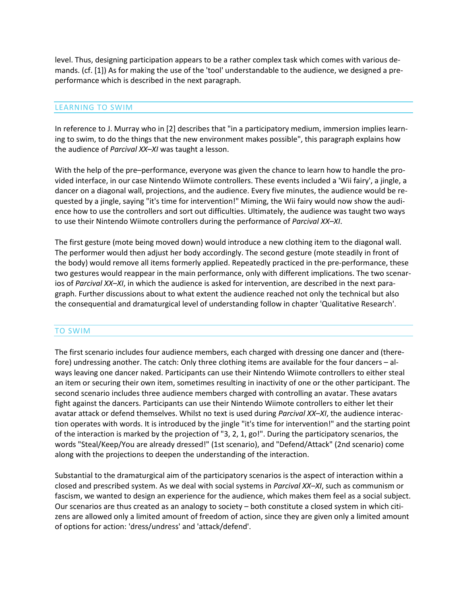level. Thus, designing participation appears to be a rather complex task which comes with various demands. (cf. [1]) As for making the use of the 'tool' understandable to the audience, we designed a preperformance which is described in the next paragraph.

#### LEARNING TO SWIM

In reference to J. Murray who in [2] describes that "in a participatory medium, immersion implies learning to swim, to do the things that the new environment makes possible", this paragraph explains how the audience of *Parcival XX–XI* was taught a lesson.

With the help of the pre–performance, everyone was given the chance to learn how to handle the provided interface, in our case Nintendo Wiimote controllers. These events included a 'Wii fairy', a jingle, a dancer on a diagonal wall, projections, and the audience. Every five minutes, the audience would be requested by a jingle, saying "it's time for intervention!" Miming, the Wii fairy would now show the audience how to use the controllers and sort out difficulties. Ultimately, the audience was taught two ways to use their Nintendo Wiimote controllers during the performance of *Parcival XX–XI*.

The first gesture (mote being moved down) would introduce a new clothing item to the diagonal wall. The performer would then adjust her body accordingly. The second gesture (mote steadily in front of the body) would remove all items formerly applied. Repeatedly practiced in the pre-performance, these two gestures would reappear in the main performance, only with different implications. The two scenarios of *Parcival XX–XI*, in which the audience is asked for intervention, are described in the next paragraph. Further discussions about to what extent the audience reached not only the technical but also the consequential and dramaturgical level of understanding follow in chapter 'Qualitative Research'.

## TO SWIM

The first scenario includes four audience members, each charged with dressing one dancer and (therefore) undressing another. The catch: Only three clothing items are available for the four dancers – always leaving one dancer naked. Participants can use their Nintendo Wiimote controllers to either steal an item or securing their own item, sometimes resulting in inactivity of one or the other participant. The second scenario includes three audience members charged with controlling an avatar. These avatars fight against the dancers. Participants can use their Nintendo Wiimote controllers to either let their avatar attack or defend themselves. Whilst no text is used during *Parcival XX–XI*, the audience interaction operates with words. It is introduced by the jingle "it's time for intervention!" and the starting point of the interaction is marked by the projection of "3, 2, 1, go!". During the participatory scenarios, the words "Steal/Keep/You are already dressed!" (1st scenario), and "Defend/Attack" (2nd scenario) come along with the projections to deepen the understanding of the interaction.

Substantial to the dramaturgical aim of the participatory scenarios is the aspect of interaction within a closed and prescribed system. As we deal with social systems in *Parcival XX–XI*, such as communism or fascism, we wanted to design an experience for the audience, which makes them feel as a social subject. Our scenarios are thus created as an analogy to society – both constitute a closed system in which citizens are allowed only a limited amount of freedom of action, since they are given only a limited amount of options for action: 'dress/undress' and 'attack/defend'.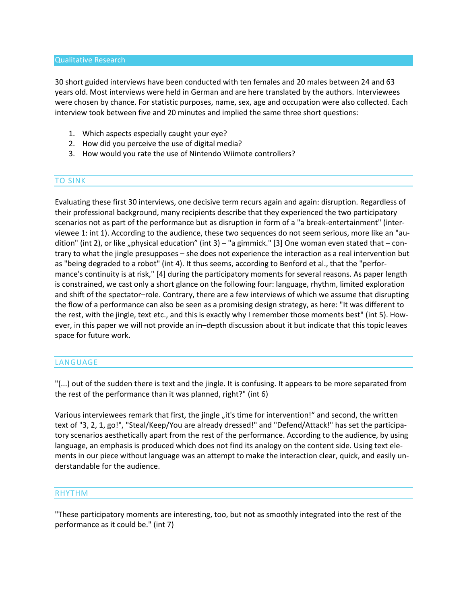#### Qualitative Research

30 short guided interviews have been conducted with ten females and 20 males between 24 and 63 years old. Most interviews were held in German and are here translated by the authors. Interviewees were chosen by chance. For statistic purposes, name, sex, age and occupation were also collected. Each interview took between five and 20 minutes and implied the same three short questions:

- 1. Which aspects especially caught your eye?
- 2. How did you perceive the use of digital media?
- 3. How would you rate the use of Nintendo Wiimote controllers?

## TO SINK

Evaluating these first 30 interviews, one decisive term recurs again and again: disruption. Regardless of their professional background, many recipients describe that they experienced the two participatory scenarios not as part of the performance but as disruption in form of a "a break-entertainment" (interviewee 1: int 1). According to the audience, these two sequences do not seem serious, more like an "audition" (int 2), or like "physical education" (int 3) – "a gimmick." [3] One woman even stated that – contrary to what the jingle presupposes – she does not experience the interaction as a real intervention but as "being degraded to a robot" (int 4). It thus seems, according to Benford et al., that the "performance's continuity is at risk," [4] during the participatory moments for several reasons. As paper length is constrained, we cast only a short glance on the following four: language, rhythm, limited exploration and shift of the spectator–role. Contrary, there are a few interviews of which we assume that disrupting the flow of a performance can also be seen as a promising design strategy, as here: "It was different to the rest, with the jingle, text etc., and this is exactly why I remember those moments best" (int 5). However, in this paper we will not provide an in–depth discussion about it but indicate that this topic leaves space for future work.

#### LANGUAGE

"(...) out of the sudden there is text and the jingle. It is confusing. It appears to be more separated from the rest of the performance than it was planned, right?" (int 6)

Various interviewees remark that first, the jingle "it's time for intervention!" and second, the written text of "3, 2, 1, go!", "Steal/Keep/You are already dressed!" and "Defend/Attack!" has set the participatory scenarios aesthetically apart from the rest of the performance. According to the audience, by using language, an emphasis is produced which does not find its analogy on the content side. Using text elements in our piece without language was an attempt to make the interaction clear, quick, and easily understandable for the audience.

#### RHYTHM

"These participatory moments are interesting, too, but not as smoothly integrated into the rest of the performance as it could be." (int 7)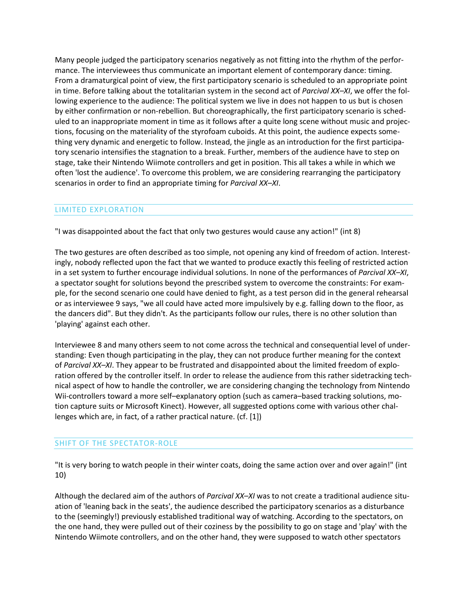Many people judged the participatory scenarios negatively as not fitting into the rhythm of the performance. The interviewees thus communicate an important element of contemporary dance: timing. From a dramaturgical point of view, the first participatory scenario is scheduled to an appropriate point in time. Before talking about the totalitarian system in the second act of *Parcival XX–XI*, we offer the following experience to the audience: The political system we live in does not happen to us but is chosen by either confirmation or non-rebellion. But choreographically, the first participatory scenario is scheduled to an inappropriate moment in time as it follows after a quite long scene without music and projections, focusing on the materiality of the styrofoam cuboids. At this point, the audience expects something very dynamic and energetic to follow. Instead, the jingle as an introduction for the first participatory scenario intensifies the stagnation to a break. Further, members of the audience have to step on stage, take their Nintendo Wiimote controllers and get in position. This all takes a while in which we often 'lost the audience'. To overcome this problem, we are considering rearranging the participatory scenarios in order to find an appropriate timing for *Parcival XX–XI*.

## LIMITED EXPLORATION

"I was disappointed about the fact that only two gestures would cause any action!" (int 8)

The two gestures are often described as too simple, not opening any kind of freedom of action. Interestingly, nobody reflected upon the fact that we wanted to produce exactly this feeling of restricted action in a set system to further encourage individual solutions. In none of the performances of *Parcival XX–XI*, a spectator sought for solutions beyond the prescribed system to overcome the constraints: For example, for the second scenario one could have denied to fight, as a test person did in the general rehearsal or as interviewee 9 says, "we all could have acted more impulsively by e.g. falling down to the floor, as the dancers did". But they didn't. As the participants follow our rules, there is no other solution than 'playing' against each other.

Interviewee 8 and many others seem to not come across the technical and consequential level of understanding: Even though participating in the play, they can not produce further meaning for the context of *Parcival XX–XI*. They appear to be frustrated and disappointed about the limited freedom of exploration offered by the controller itself. In order to release the audience from this rather sidetracking technical aspect of how to handle the controller, we are considering changing the technology from Nintendo Wii-controllers toward a more self–explanatory option (such as camera–based tracking solutions, motion capture suits or Microsoft Kinect). However, all suggested options come with various other challenges which are, in fact, of a rather practical nature. (cf. [1])

## SHIFT OF THE SPECTATOR-ROLE

"It is very boring to watch people in their winter coats, doing the same action over and over again!" (int 10)

Although the declared aim of the authors of *Parcival XX–XI* was to not create a traditional audience situation of 'leaning back in the seats', the audience described the participatory scenarios as a disturbance to the (seemingly!) previously established traditional way of watching. According to the spectators, on the one hand, they were pulled out of their coziness by the possibility to go on stage and 'play' with the Nintendo Wiimote controllers, and on the other hand, they were supposed to watch other spectators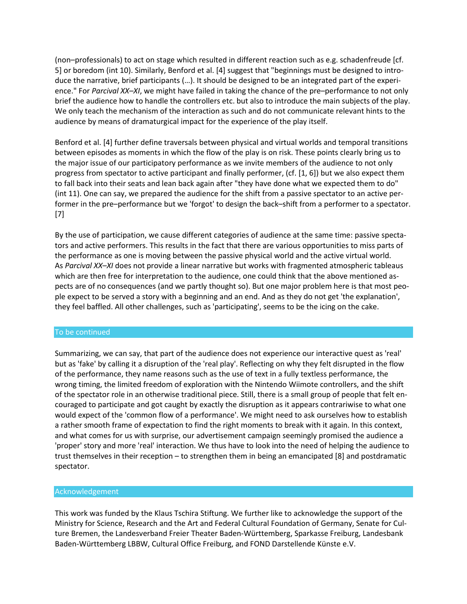(non–professionals) to act on stage which resulted in different reaction such as e.g. schadenfreude [cf. 5] or boredom (int 10). Similarly, Benford et al. [4] suggest that "beginnings must be designed to introduce the narrative, brief participants (…). It should be designed to be an integrated part of the experience." For *Parcival XX–XI*, we might have failed in taking the chance of the pre–performance to not only brief the audience how to handle the controllers etc. but also to introduce the main subjects of the play. We only teach the mechanism of the interaction as such and do not communicate relevant hints to the audience by means of dramaturgical impact for the experience of the play itself.

Benford et al. [4] further define traversals between physical and virtual worlds and temporal transitions between episodes as moments in which the flow of the play is on risk. These points clearly bring us to the major issue of our participatory performance as we invite members of the audience to not only progress from spectator to active participant and finally performer, (cf. [1, 6]) but we also expect them to fall back into their seats and lean back again after "they have done what we expected them to do" (int 11). One can say, we prepared the audience for the shift from a passive spectator to an active performer in the pre–performance but we 'forgot' to design the back–shift from a performer to a spectator. [7]

By the use of participation, we cause different categories of audience at the same time: passive spectators and active performers. This results in the fact that there are various opportunities to miss parts of the performance as one is moving between the passive physical world and the active virtual world. As *Parcival XX–XI* does not provide a linear narrative but works with fragmented atmospheric tableaus which are then free for interpretation to the audience, one could think that the above mentioned aspects are of no consequences (and we partly thought so). But one major problem here is that most people expect to be served a story with a beginning and an end. And as they do not get 'the explanation', they feel baffled. All other challenges, such as 'participating', seems to be the icing on the cake.

#### To be continued

Summarizing, we can say, that part of the audience does not experience our interactive quest as 'real' but as 'fake' by calling it a disruption of the 'real play'. Reflecting on why they felt disrupted in the flow of the performance, they name reasons such as the use of text in a fully textless performance, the wrong timing, the limited freedom of exploration with the Nintendo Wiimote controllers, and the shift of the spectator role in an otherwise traditional piece. Still, there is a small group of people that felt encouraged to participate and got caught by exactly the disruption as it appears contrariwise to what one would expect of the 'common flow of a performance'. We might need to ask ourselves how to establish a rather smooth frame of expectation to find the right moments to break with it again. In this context, and what comes for us with surprise, our advertisement campaign seemingly promised the audience a 'proper' story and more 'real' interaction. We thus have to look into the need of helping the audience to trust themselves in their reception – to strengthen them in being an emancipated [8] and postdramatic spectator.

#### Acknowledgement

This work was funded by the Klaus Tschira Stiftung. We further like to acknowledge the support of the Ministry for Science, Research and the Art and Federal Cultural Foundation of Germany, Senate for Culture Bremen, the Landesverband Freier Theater Baden-Württemberg, Sparkasse Freiburg, Landesbank Baden-Württemberg LBBW, Cultural Office Freiburg, and FOND Darstellende Künste e.V.